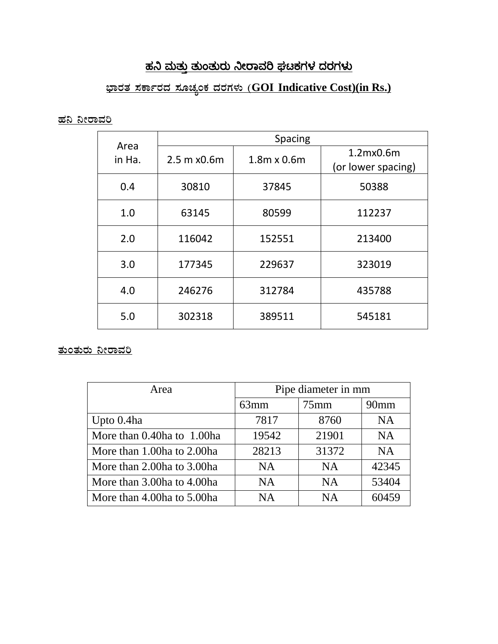### <u>ಹನಿ ಮತ್ತು ತುಂತುರು ನೀರಾವರಿ ಘಟಕಗಳ ದರಗಳು</u>

## <u>ಭಾರತ ಸರ್ಕಾರದ ಸೂಚ್ಯಂಕ ದರಗಳು (GOI Indicative Cost)(in Rs.)</u>

#### <u>ಹನಿ ನೀರಾವರಿ</u>

| Area<br>in Ha. | <b>Spacing</b> |                    |                                 |
|----------------|----------------|--------------------|---------------------------------|
|                | 2.5 m x0.6m    | $1.8m \times 0.6m$ | 1.2mx0.6m<br>(or lower spacing) |
| 0.4            | 30810          | 37845              | 50388                           |
| 1.0            | 63145          | 80599              | 112237                          |
| 2.0            | 116042         | 152551             | 213400                          |
| 3.0            | 177345         | 229637             | 323019                          |
| 4.0            | 246276         | 312784             | 435788                          |
| 5.0            | 302318         | 389511             | 545181                          |

### <u>ತುಂತುರು ನೀರಾವರಿ</u>

| Area                       | Pipe diameter in mm |           |                  |
|----------------------------|---------------------|-----------|------------------|
|                            | 63mm                | $75$ mm   | 90 <sub>mm</sub> |
| Upto 0.4ha                 | 7817                | 8760      | <b>NA</b>        |
| More than 0.40ha to 1.00ha | 19542               | 21901     | <b>NA</b>        |
| More than 1.00ha to 2.00ha | 28213               | 31372     | <b>NA</b>        |
| More than 2.00ha to 3.00ha | <b>NA</b>           | <b>NA</b> | 42345            |
| More than 3.00ha to 4.00ha | <b>NA</b>           | <b>NA</b> | 53404            |
| More than 4.00ha to 5.00ha | <b>NA</b>           | <b>NA</b> | 60459            |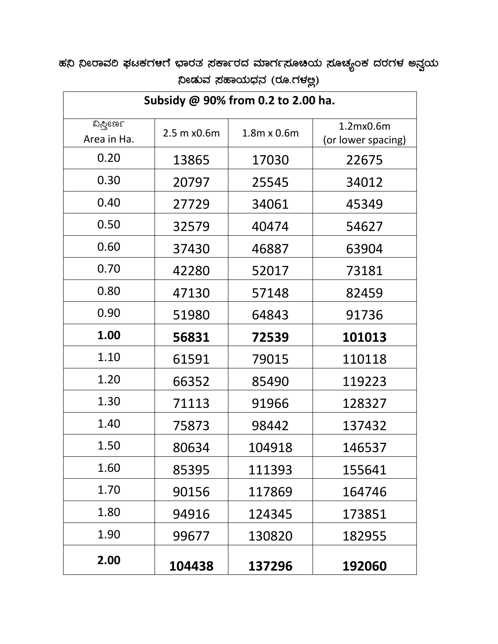ಹನಿ ನೀರಾವಲಿ ಫಟಕಗ<mark>ಆ</mark>ಗೆ ಭಾರತ ಸರ್ಕಾರದ ಮಾರ್ಗಸೂಚಿಯ ಸೂಚ್ಯಂಕ ದರಗಳ ಅನ್ವಯ  $\beta$ &ುವ ಸಹಾಯಧನ (ರೂ.ಗಳಲ್ಲ)

| Subsidy @ 90% from 0.2 to 2.00 ha. |             |                    |                                 |  |
|------------------------------------|-------------|--------------------|---------------------------------|--|
| ವಿಸ್ವೀರ್ಣ<br>Area in Ha.           | 2.5 m x0.6m | $1.8m \times 0.6m$ | 1.2mx0.6m<br>(or lower spacing) |  |
| 0.20                               | 13865       | 17030              | 22675                           |  |
| 0.30                               | 20797       | 25545              | 34012                           |  |
| 0.40                               | 27729       | 34061              | 45349                           |  |
| 0.50                               | 32579       | 40474              | 54627                           |  |
| 0.60                               | 37430       | 46887              | 63904                           |  |
| 0.70                               | 42280       | 52017              | 73181                           |  |
| 0.80                               | 47130       | 57148              | 82459                           |  |
| 0.90                               | 51980       | 64843              | 91736                           |  |
| 1.00                               | 56831       | 72539              | 101013                          |  |
| 1.10                               | 61591       | 79015              | 110118                          |  |
| 1.20                               | 66352       | 85490              | 119223                          |  |
| 1.30                               | 71113       | 91966              | 128327                          |  |
| 1.40                               | 75873       | 98442              | 137432                          |  |
| 1.50                               | 80634       | 104918             | 146537                          |  |
| 1.60                               | 85395       | 111393             | 155641                          |  |
| 1.70                               | 90156       | 117869             | 164746                          |  |
| 1.80                               | 94916       | 124345             | 173851                          |  |
| 1.90                               | 99677       | 130820             | 182955                          |  |
| 2.00                               | 104438      | 137296             | 192060                          |  |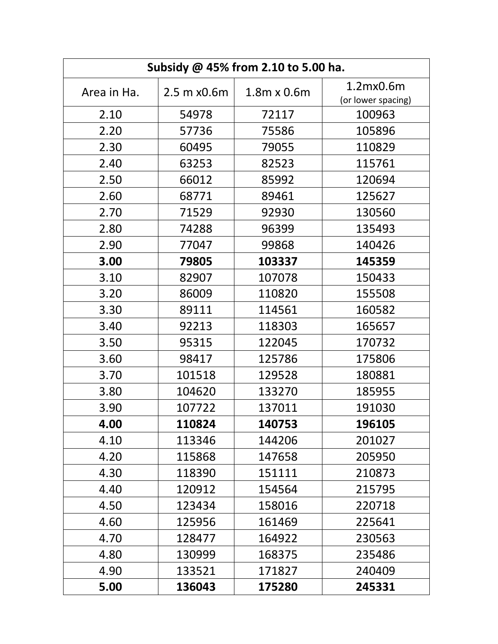| Subsidy @ 45% from 2.10 to 5.00 ha. |             |                    |                    |  |  |
|-------------------------------------|-------------|--------------------|--------------------|--|--|
| Area in Ha.                         | 2.5 m x0.6m | $1.8m \times 0.6m$ | 1.2mx0.6m          |  |  |
|                                     |             |                    | (or lower spacing) |  |  |
| 2.10                                | 54978       | 72117              | 100963             |  |  |
| 2.20                                | 57736       | 75586              | 105896             |  |  |
| 2.30                                | 60495       | 79055              | 110829             |  |  |
| 2.40                                | 63253       | 82523              | 115761             |  |  |
| 2.50                                | 66012       | 85992              | 120694             |  |  |
| 2.60                                | 68771       | 89461              | 125627             |  |  |
| 2.70                                | 71529       | 92930              | 130560             |  |  |
| 2.80                                | 74288       | 96399              | 135493             |  |  |
| 2.90                                | 77047       | 99868              | 140426             |  |  |
| 3.00                                | 79805       | 103337             | 145359             |  |  |
| 3.10                                | 82907       | 107078             | 150433             |  |  |
| 3.20                                | 86009       | 110820             | 155508             |  |  |
| 3.30                                | 89111       | 114561             | 160582             |  |  |
| 3.40                                | 92213       | 118303             | 165657             |  |  |
| 3.50                                | 95315       | 122045             | 170732             |  |  |
| 3.60                                | 98417       | 125786             | 175806             |  |  |
| 3.70                                | 101518      | 129528             | 180881             |  |  |
| 3.80                                | 104620      | 133270             | 185955             |  |  |
| 3.90                                | 107722      | 137011             | 191030             |  |  |
| 4.00                                | 110824      | 140753             | 196105             |  |  |
| 4.10                                | 113346      | 144206             | 201027             |  |  |
| 4.20                                | 115868      | 147658             | 205950             |  |  |
| 4.30                                | 118390      | 151111             | 210873             |  |  |
| 4.40                                | 120912      | 154564             | 215795             |  |  |
| 4.50                                | 123434      | 158016             | 220718             |  |  |
| 4.60                                | 125956      | 161469             | 225641             |  |  |
| 4.70                                | 128477      | 164922             | 230563             |  |  |
| 4.80                                | 130999      | 168375             | 235486             |  |  |
| 4.90                                | 133521      | 171827             | 240409             |  |  |
| 5.00                                | 136043      | 175280             | 245331             |  |  |